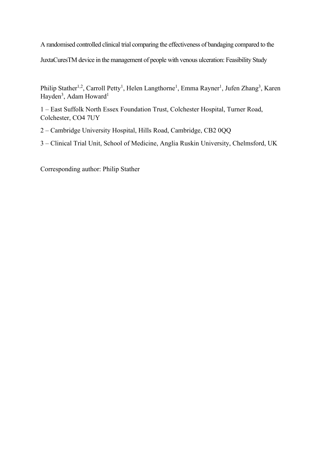A randomised controlled clinical trial comparing the effectiveness of bandaging compared to the

JuxtaCuresTM device in the management of people with venous ulceration: Feasibility Study

Philip Stather<sup>1,2</sup>, Carroll Petty<sup>1</sup>, Helen Langthorne<sup>1</sup>, Emma Rayner<sup>1</sup>, Jufen Zhang<sup>3</sup>, Karen Hayden<sup>3</sup>, Adam Howard<sup>1</sup>

1 – East Suffolk North Essex Foundation Trust, Colchester Hospital, Turner Road, Colchester, CO4 7UY

2 – Cambridge University Hospital, Hills Road, Cambridge, CB2 0QQ

3 – Clinical Trial Unit, School of Medicine, Anglia Ruskin University, Chelmsford, UK

Corresponding author: Philip Stather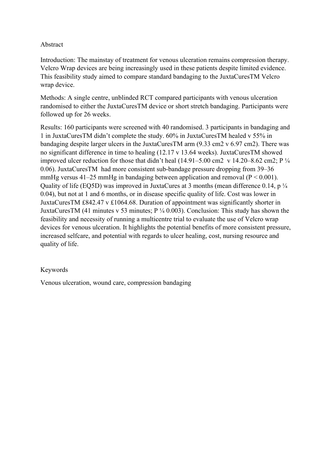### Abstract

Introduction: The mainstay of treatment for venous ulceration remains compression therapy. Velcro Wrap devices are being increasingly used in these patients despite limited evidence. This feasibility study aimed to compare standard bandaging to the JuxtaCuresTM Velcro wrap device.

Methods: A single centre, unblinded RCT compared participants with venous ulceration randomised to either the JuxtaCuresTM device or short stretch bandaging. Participants were followed up for 26 weeks.

Results: 160 participants were screened with 40 randomised. 3 participants in bandaging and 1 in JuxtaCuresTM didn't complete the study. 60% in JuxtaCuresTM healed v 55% in bandaging despite larger ulcers in the JuxtaCuresTM arm (9.33 cm2 v 6.97 cm2). There was no significant difference in time to healing (12.17 v 13.64 weeks). JuxtaCuresTM showed improved ulcer reduction for those that didn't heal (14.91–5.00 cm2 v 14.20–8.62 cm2;  $P\frac{1}{4}$ ) 0.06). JuxtaCuresTM had more consistent sub-bandage pressure dropping from 39–36 mmHg versus  $41-25$  mmHg in bandaging between application and removal ( $P < 0.001$ ). Quality of life (EQ5D) was improved in JuxtaCures at 3 months (mean difference 0.14, p  $\frac{1}{4}$ 0.04), but not at 1 and 6 months, or in disease specific quality of life. Cost was lower in JuxtaCuresTM £842.47 v £1064.68. Duration of appointment was significantly shorter in JuxtaCuresTM (41 minutes v 53 minutes; P ¼ 0.003). Conclusion: This study has shown the feasibility and necessity of running a multicentre trial to evaluate the use of Velcro wrap devices for venous ulceration. It highlights the potential benefits of more consistent pressure, increased selfcare, and potential with regards to ulcer healing, cost, nursing resource and quality of life.

## Keywords

Venous ulceration, wound care, compression bandaging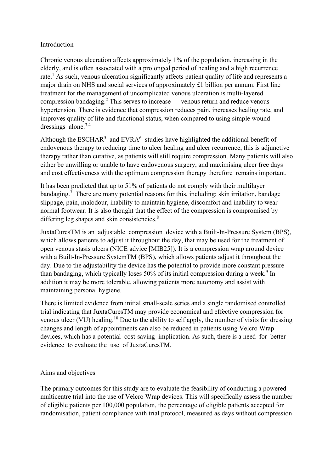### Introduction

Chronic venous ulceration affects approximately 1% of the population, increasing in the elderly, and is often associated with a prolonged period of healing and a high recurrence rate.<sup>1</sup> As such, venous ulceration significantly affects patient quality of life and represents a major drain on NHS and social services of approximately £1 billion per annum. First line treatment for the management of uncomplicated venous ulceration is multi-layered compression bandaging.<sup>2</sup> This serves to increase venous return and reduce venous hypertension. There is evidence that compression reduces pain, increases healing rate, and improves quality of life and functional status, when compared to using simple wound dressings alone.3,4

Although the ESCHAR<sup>5</sup> and EVRA $^6$  studies have highlighted the additional benefit of endovenous therapy to reducing time to ulcer healing and ulcer recurrence, this is adjunctive therapy rather than curative, as patients will still require compression. Many patients will also either be unwilling or unable to have endovenous surgery, and maximising ulcer free days and cost effectiveness with the optimum compression therapy therefore remains important.

It has been predicted that up to 51% of patients do not comply with their multilayer bandaging.<sup>7</sup> There are many potential reasons for this, including: skin irritation, bandage slippage, pain, malodour, inability to maintain hygiene, discomfort and inability to wear normal footwear. It is also thought that the effect of the compression is compromised by differing leg shapes and skin consistencies.<sup>8</sup>

JuxtaCuresTM is an adjustable compression device with a Built-In-Pressure System (BPS), which allows patients to adjust it throughout the day, that may be used for the treatment of open venous stasis ulcers (NICE advice [MIB25]). It is a compression wrap around device with a Built-In-Pressure SystemTM (BPS), which allows patients adjust it throughout the day. Due to the adjustability the device has the potential to provide more constant pressure than bandaging, which typically loses  $50\%$  of its initial compression during a week.<sup>9</sup> In addition it may be more tolerable, allowing patients more autonomy and assist with maintaining personal hygiene.

There is limited evidence from initial small-scale series and a single randomised controlled trial indicating that JuxtaCuresTM may provide economical and effective compression for venous ulcer (VU) healing.<sup>10</sup> Due to the ability to self apply, the number of visits for dressing changes and length of appointments can also be reduced in patients using Velcro Wrap devices, which has a potential cost-saving implication. As such, there is a need for better evidence to evaluate the use of JuxtaCuresTM.

## Aims and objectives

The primary outcomes for this study are to evaluate the feasibility of conducting a powered multicentre trial into the use of Velcro Wrap devices. This will specifically assess the number of eligible patients per 100,000 population, the percentage of eligible patients accepted for randomisation, patient compliance with trial protocol, measured as days without compression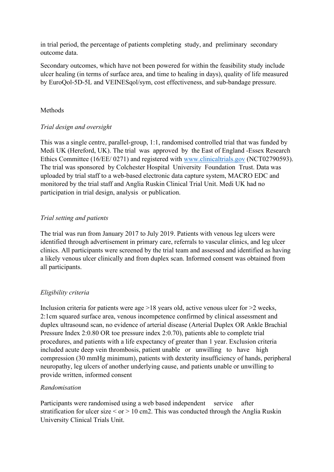in trial period, the percentage of patients completing study, and preliminary secondary outcome data.

Secondary outcomes, which have not been powered for within the feasibility study include ulcer healing (in terms of surface area, and time to healing in days), quality of life measured by EuroQol-5D-5L and VEINESqol/sym, cost effectiveness, and sub-bandage pressure.

### Methods

## *Trial design and oversight*

This was a single centre, parallel-group, 1:1, randomised controlled trial that was funded by Medi UK (Hereford, UK). The trial was approved by the East of England -Essex Research Ethics Committee (16/EE/ 0271) and registered with [www.clinicaltrials.gov](http://www.clinicaltrials.gov/) (NCT02790593). The trial was sponsored by Colchester Hospital University Foundation Trust. Data was uploaded by trial staff to a web-based electronic data capture system, MACRO EDC and monitored by the trial staff and Anglia Ruskin Clinical Trial Unit. Medi UK had no participation in trial design, analysis or publication.

## *Trial setting and patients*

The trial was run from January 2017 to July 2019. Patients with venous leg ulcers were identified through advertisement in primary care, referrals to vascular clinics, and leg ulcer clinics. All participants were screened by the trial team and assessed and identified as having a likely venous ulcer clinically and from duplex scan. Informed consent was obtained from all participants.

## *Eligibility criteria*

Inclusion criteria for patients were age >18 years old, active venous ulcer for >2 weeks, 2:1cm squared surface area, venous incompetence confirmed by clinical assessment and duplex ultrasound scan, no evidence of arterial disease (Arterial Duplex OR Ankle Brachial Pressure Index 2:0.80 OR toe pressure index 2:0.70), patients able to complete trial procedures, and patients with a life expectancy of greater than 1 year. Exclusion criteria included acute deep vein thrombosis, patient unable or unwilling to have high compression (30 mmHg minimum), patients with dexterity insufficiency of hands, peripheral neuropathy, leg ulcers of another underlying cause, and patients unable or unwilling to provide written, informed consent

## *Randomisation*

Participants were randomised using a web based independent service after stratification for ulcer size  $\le$  or  $> 10$  cm2. This was conducted through the Anglia Ruskin University Clinical Trials Unit.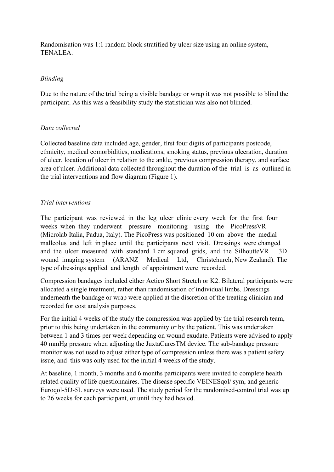Randomisation was 1:1 random block stratified by ulcer size using an online system, TENALEA.

## *Blinding*

Due to the nature of the trial being a visible bandage or wrap it was not possible to blind the participant. As this was a feasibility study the statistician was also not blinded.

## *Data collected*

Collected baseline data included age, gender, first four digits of participants postcode, ethnicity, medical comorbidities, medications, smoking status, previous ulceration, duration of ulcer, location of ulcer in relation to the ankle, previous compression therapy, and surface area of ulcer. Additional data collected throughout the duration of the trial is as outlined in the trial interventions and flow diagram (Figure 1).

## *Trial interventions*

The participant was reviewed in the leg ulcer clinic every week for the first four weeks when they underwent pressure monitoring using the PicoPressVR (Microlab Italia, Padua, Italy). The PicoPress was positioned 10 cm above the medial malleolus and left in place until the participants next visit. Dressings were changed and the ulcer measured with standard 1 cm squared grids, and the SilhoutteVR 3D wound imaging system (ARANZ Medical Ltd, Christchurch, New Zealand). The type of dressings applied and length of appointment were recorded.

Compression bandages included either Actico Short Stretch or K2. Bilateral participants were allocated a single treatment, rather than randomisation of individual limbs. Dressings underneath the bandage or wrap were applied at the discretion of the treating clinician and recorded for cost analysis purposes.

For the initial 4 weeks of the study the compression was applied by the trial research team, prior to this being undertaken in the community or by the patient. This was undertaken between 1 and 3 times per week depending on wound exudate. Patients were advised to apply 40 mmHg pressure when adjusting the JuxtaCuresTM device. The sub-bandage pressure monitor was not used to adjust either type of compression unless there was a patient safety issue, and this was only used for the initial 4 weeks of the study.

At baseline, 1 month, 3 months and 6 months participants were invited to complete health related quality of life questionnaires. The disease specific VEINESqol/ sym, and generic Euroqol-5D-5L surveys were used. The study period for the randomised-control trial was up to 26 weeks for each participant, or until they had healed.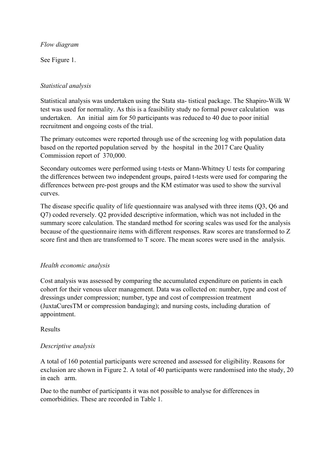## *Flow diagram*

See Figure 1.

# *Statistical analysis*

Statistical analysis was undertaken using the Stata sta- tistical package. The Shapiro-Wilk W test was used for normality. As this is a feasibility study no formal power calculation was undertaken. An initial aim for 50 participants was reduced to 40 due to poor initial recruitment and ongoing costs of the trial.

The primary outcomes were reported through use of the screening log with population data based on the reported population served by the hospital in the 2017 Care Quality Commission report of 370,000.

Secondary outcomes were performed using t-tests or Mann-Whitney U tests for comparing the differences between two independent groups, paired t-tests were used for comparing the differences between pre-post groups and the KM estimator was used to show the survival curves.

The disease specific quality of life questionnaire was analysed with three items (Q3, Q6 and Q7) coded reversely. Q2 provided descriptive information, which was not included in the summary score calculation. The standard method for scoring scales was used for the analysis because of the questionnaire items with different responses. Raw scores are transformed to Z score first and then are transformed to T score. The mean scores were used in the analysis.

# *Health economic analysis*

Cost analysis was assessed by comparing the accumulated expenditure on patients in each cohort for their venous ulcer management. Data was collected on: number, type and cost of dressings under compression; number, type and cost of compression treatment (JuxtaCuresTM or compression bandaging); and nursing costs, including duration of appointment.

Results

# *Descriptive analysis*

A total of 160 potential participants were screened and assessed for eligibility. Reasons for exclusion are shown in Figure 2. A total of 40 participants were randomised into the study, 20 in each arm.

Due to the number of participants it was not possible to analyse for differences in comorbidities. These are recorded in Table 1.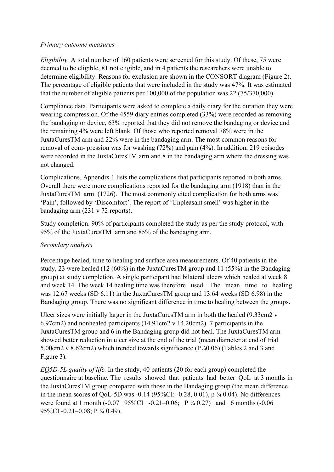### *Primary outcome measures*

*Eligibility*. A total number of 160 patients were screened for this study. Of these, 75 were deemed to be eligible, 81 not eligible, and in 4 patients the researchers were unable to determine eligibility. Reasons for exclusion are shown in the CONSORT diagram (Figure 2). The percentage of eligible patients that were included in the study was 47%. It was estimated that the number of eligible patients per 100,000 of the population was 22 (75/370,000).

Compliance data. Participants were asked to complete a daily diary for the duration they were wearing compression. Of the 4559 diary entries completed (33%) were recorded as removing the bandaging or device, 63% reported that they did not remove the bandaging or device and the remaining 4% were left blank. Of those who reported removal 78% were in the JuxtaCuresTM arm and 22% were in the bandaging arm. The most common reasons for removal of com- pression was for washing (72%) and pain (4%). In addition, 219 episodes were recorded in the JuxtaCuresTM arm and 8 in the bandaging arm where the dressing was not changed.

Complications. Appendix 1 lists the complications that participants reported in both arms. Overall there were more complications reported for the bandaging arm (1918) than in the JuxtaCuresTM arm (1726). The most commonly cited complication for both arms was 'Pain', followed by 'Discomfort'. The report of 'Unpleasant smell' was higher in the bandaging arm (231 v 72 reports).

Study completion. 90% of participants completed the study as per the study protocol, with 95% of the JuxtaCuresTM arm and 85% of the bandaging arm.

## *Secondary analysis*

Percentage healed, time to healing and surface area measurements. Of 40 patients in the study, 23 were healed (12 (60%) in the JuxtaCuresTM group and 11 (55%) in the Bandaging group) at study completion. A single participant had bilateral ulcers which healed at week 8 and week 14. The week 14 healing time was therefore used. The mean time to healing was 12.67 weeks (SD 6.11) in the JuxtaCuresTM group and 13.64 weeks (SD 6.98) in the Bandaging group. There was no significant difference in time to healing between the groups.

Ulcer sizes were initially larger in the JuxtaCuresTM arm in both the healed (9.33cm2 v 6.97cm2) and nonhealed participants (14.91cm2 v 14.20cm2). 7 participants in the JuxtaCuresTM group and 6 in the Bandaging group did not heal. The JuxtaCuresTM arm showed better reduction in ulcer size at the end of the trial (mean diameter at end of trial 5.00cm2 v 8.62cm2) which trended towards significance (P¼0.06) (Tables 2 and 3 and Figure 3).

*EQ5D-5L quality of life.* In the study, 40 patients (20 for each group) completed the questionnaire at baseline. The results showed that patients had better QoL at 3 months in the JuxtaCuresTM group compared with those in the Bandaging group (the mean difference in the mean scores of QoL-5D was -0.14 (95%CI: -0.28, 0.01),  $p \frac{1}{4}$  0.04). No differences were found at 1 month (-0.07 95%CI -0.21–0.06; P ¼ 0.27) and 6 months (-0.06 95%CI -0.21–0.08; P ¼ 0.49).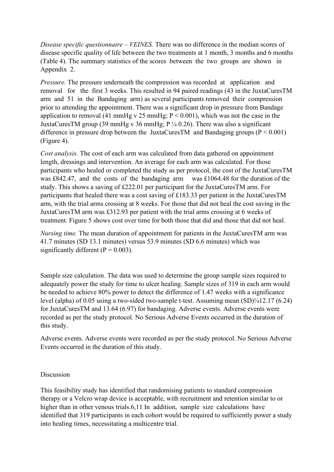*Disease specific questionnaire – VEINES.* There was no difference in the median scores of disease specific quality of life between the two treatments at 1 month, 3 months and 6 months (Table 4). The summary statistics of the scores between the two groups are shown in Appendix 2.

*Pressure.* The pressure underneath the compression was recorded at application and removal for the first 3 weeks. This resulted in 94 paired readings (43 in the JuxtaCuresTM arm and 51 in the Bandaging arm) as several participants removed their compression prior to attending the appointment. There was a significant drop in pressure from Bandage application to removal (41 mmHg v 25 mmHg;  $P < 0.001$ ), which was not the case in the JuxtaCuresTM group (39 mmHg v 36 mmHg;  $P \frac{1}{4} 0.26$ ). There was also a significant difference in pressure drop between the JuxtaCuresTM and Bandaging groups ( $P \le 0.001$ ) (Figure 4).

*Cost analysis.* The cost of each arm was calculated from data gathered on appointment length, dressings and intervention. An average for each arm was calculated. For those participants who healed or completed the study as per protocol, the cost of the JuxtaCuresTM was £842.47, and the costs of the bandaging arm was £1064.48 for the duration of the study. This shows a saving of £222.01 per participant for the JuxtaCuresTM arm. For participants that healed there was a cost saving of £183.33 per patient in the JuxtaCuresTM arm, with the trial arms crossing at 8 weeks. For those that did not heal the cost saving in the JuxtaCuresTM arm was £312.93 per patient with the trial arms crossing at 6 weeks of treatment. Figure 5 shows cost over time for both those that did and those that did not heal.

*Nursing time.* The mean duration of appointment for patients in the JuxtaCuresTM arm was 41.7 minutes (SD 13.1 minutes) versus 53.9 minutes (SD 6.6 minutes) which was significantly different ( $P = 0.003$ ).

Sample size calculation. The data was used to determine the group sample sizes required to adequately power the study for time to ulcer healing. Sample sizes of 319 in each arm would be needed to achieve 80% power to detect the difference of 1.47 weeks with a significance level (alpha) of 0.05 using a two-sided two-sample t-test. Assuming mean (SD)¼12.17 (6.24) for JuxtaCuresTM and 13.64 (6.97) for bandaging. Adverse events. Adverse events were recorded as per the study protocol. No Serious Adverse Events occurred in the duration of this study.

Adverse events. Adverse events were recorded as per the study protocol. No Serious Adverse Events occurred in the duration of this study.

#### Discussion

This feasibility study has identified that randomising patients to standard compression therapy or a Velcro wrap device is acceptable, with recruitment and retention similar to or higher than in other venous trials.6,11 In addition, sample size calculations have identified that 319 participants in each cohort would be required to sufficiently power a study into healing times, necessitating a multicentre trial.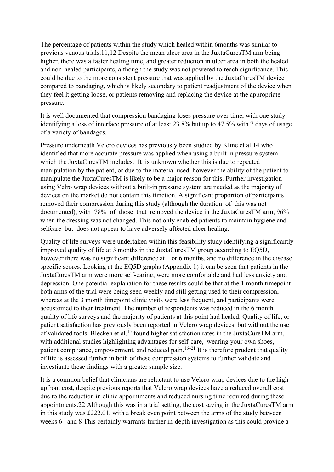The percentage of patients within the study which healed within 6months was similar to previous venous trials.11,12 Despite the mean ulcer area in the JuxtaCuresTM arm being higher, there was a faster healing time, and greater reduction in ulcer area in both the healed and non-healed participants, although the study was not powered to reach significance. This could be due to the more consistent pressure that was applied by the JuxtaCuresTM device compared to bandaging, which is likely secondary to patient readjustment of the device when they feel it getting loose, or patients removing and replacing the device at the appropriate pressure.

It is well documented that compression bandaging loses pressure over time, with one study identifying a loss of interface pressure of at least 23.8% but up to 47.5% with 7 days of usage of a variety of bandages.

Pressure underneath Velcro devices has previously been studied by Kline et al.14 who identified that more accurate pressure was applied when using a built in pressure system which the JuxtaCuresTM includes. It is unknown whether this is due to repeated manipulation by the patient, or due to the material used, however the ability of the patient to manipulate the JuxtaCuresTM is likely to be a major reason for this. Further investigation using Velro wrap devices without a built-in pressure system are needed as the majority of devices on the market do not contain this function. A significant proportion of participants removed their compression during this study (although the duration of this was not documented), with 78% of those that removed the device in the JuxtaCuresTM arm, 96% when the dressing was not changed. This not only enabled patients to maintain hygiene and selfcare but does not appear to have adversely affected ulcer healing.

Quality of life surveys were undertaken within this feasibility study identifying a significantly improved quality of life at 3 months in the JuxtaCuresTM group according to EQ5D, however there was no significant difference at 1 or 6 months, and no difference in the disease specific scores. Looking at the EQ5D graphs (Appendix 1) it can be seen that patients in the JuxtaCuresTM arm were more self-caring, were more comfortable and had less anxiety and depression. One potential explanation for these results could be that at the 1 month timepoint both arms of the trial were being seen weekly and still getting used to their compression, whereas at the 3 month timepoint clinic visits were less frequent, and participants were accustomed to their treatment. The number of respondents was reduced in the 6 month quality of life surveys and the majority of patients at this point had healed. Quality of life, or patient satisfaction has previously been reported in Velcro wrap devices, but without the use of validated tools. Blecken et al.<sup>15</sup> found higher satisfaction rates in the JuxtaCureTM arm, with additional studies highlighting advantages for self-care, wearing your own shoes, patient compliance, empowerment, and reduced pain.<sup>16–21</sup> It is therefore prudent that quality of life is assessed further in both of these compression systems to further validate and investigate these findings with a greater sample size.

It is a common belief that clinicians are reluctant to use Velcro wrap devices due to the high upfront cost, despite previous reports that Velcro wrap devices have a reduced overall cost due to the reduction in clinic appointments and reduced nursing time required during these appointments.22 Although this was in a trial setting, the cost saving in the JuxtaCuresTM arm in this study was £222.01, with a break even point between the arms of the study between weeks 6 and 8 This certainly warrants further in-depth investigation as this could provide a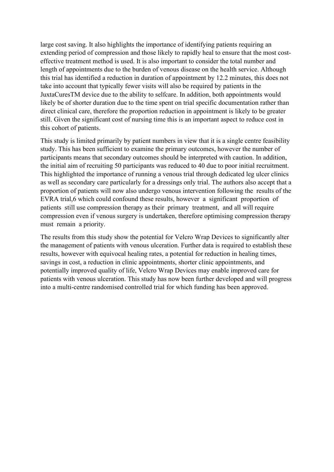large cost saving. It also highlights the importance of identifying patients requiring an extending period of compression and those likely to rapidly heal to ensure that the most costeffective treatment method is used. It is also important to consider the total number and length of appointments due to the burden of venous disease on the health service. Although this trial has identified a reduction in duration of appointment by 12.2 minutes, this does not take into account that typically fewer visits will also be required by patients in the JuxtaCuresTM device due to the ability to selfcare. In addition, both appointments would likely be of shorter duration due to the time spent on trial specific documentation rather than direct clinical care, therefore the proportion reduction in appointment is likely to be greater still. Given the significant cost of nursing time this is an important aspect to reduce cost in this cohort of patients.

This study is limited primarily by patient numbers in view that it is a single centre feasibility study. This has been sufficient to examine the primary outcomes, however the number of participants means that secondary outcomes should be interpreted with caution. In addition, the initial aim of recruiting 50 participants was reduced to 40 due to poor initial recruitment. This highlighted the importance of running a venous trial through dedicated leg ulcer clinics as well as secondary care particularly for a dressings only trial. The authors also accept that a proportion of patients will now also undergo venous intervention following the results of the EVRA trial,6 which could confound these results, however a significant proportion of patients still use compression therapy as their primary treatment, and all will require compression even if venous surgery is undertaken, therefore optimising compression therapy must remain a priority.

The results from this study show the potential for Velcro Wrap Devices to significantly alter the management of patients with venous ulceration. Further data is required to establish these results, however with equivocal healing rates, a potential for reduction in healing times, savings in cost, a reduction in clinic appointments, shorter clinic appointments, and potentially improved quality of life, Velcro Wrap Devices may enable improved care for patients with venous ulceration. This study has now been further developed and will progress into a multi-centre randomised controlled trial for which funding has been approved.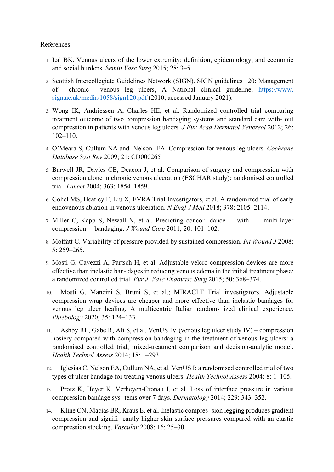### References

- 1. Lal BK. Venous ulcers of the lower extremity: definition, epidemiology, and economic and social burdens. *Semin Vasc Surg* 2015; 28: 3–5.
- 2. Scottish Intercollegiate Guidelines Network (SIGN). SIGN guidelines 120: Management of chronic venous leg ulcers, A National clinical guideline, [https://www.](https://www.sign.ac.uk/media/1058/sign120.pdf) [sign.ac.uk/media/1058/sign120.pdf](https://www.sign.ac.uk/media/1058/sign120.pdf) (2010, accessed January 2021).
- 3. Wong IK, Andriessen A, Charles HE, et al. Randomized controlled trial comparing treatment outcome of two compression bandaging systems and standard care with- out compression in patients with venous leg ulcers. *J Eur Acad Dermatol Venereol* 2012; 26: 102–110.
- 4. O'Meara S, Cullum NA and Nelson EA. Compression for venous leg ulcers. *Cochrane Database Syst Rev* 2009; 21: CD000265
- 5. Barwell JR, Davies CE, Deacon J, et al. Comparison of surgery and compression with compression alone in chronic venous ulceration (ESCHAR study): randomised controlled trial. *Lancet* 2004; 363: 1854–1859.
- 6. Gohel MS, Heatley F, Liu X, EVRA Trial Investigators, et al. A randomized trial of early endovenous ablation in venous ulceration. *N Engl J Med* 2018; 378: 2105–2114.
- 7. Miller C, Kapp S, Newall N, et al. Predicting concor- dance with multi-layer compression bandaging. *J Wound Care* 2011; 20: 101–102.
- 8. Moffatt C. Variability of pressure provided by sustained compression. *Int Wound J* 2008; 5: 259–265.
- 9. Mosti G, Cavezzi A, Partsch H, et al. Adjustable velcro compression devices are more effective than inelastic ban- dages in reducing venous edema in the initial treatment phase: a randomized controlled trial. *Eur J Vasc Endovasc Surg* 2015; 50: 368–374.
- 10. Mosti G, Mancini S, Bruni S, et al.; MIRACLE Trial investigators. Adjustable compression wrap devices are cheaper and more effective than inelastic bandages for venous leg ulcer healing. A multicentric Italian random- ized clinical experience. *Phlebology* 2020; 35: 124–133.
- 11. Ashby RL, Gabe R, Ali S, et al. VenUS IV (venous leg ulcer study IV) compression hosiery compared with compression bandaging in the treatment of venous leg ulcers: a randomised controlled trial, mixed-treatment comparison and decision-analytic model. *Health Technol Assess* 2014; 18: 1–293.
- 12. Iglesias C, Nelson EA, Cullum NA, et al. VenUS I: a randomised controlled trial of two types of ulcer bandage for treating venous ulcers. *Health Technol Assess* 2004; 8: 1–105.
- 13. Protz K, Heyer K, Verheyen-Cronau I, et al. Loss of interface pressure in various compression bandage sys- tems over 7 days. *Dermatology* 2014; 229: 343–352.
- 14. Kline CN, Macias BR, Kraus E, et al. Inelastic compres- sion legging produces gradient compression and signifi- cantly higher skin surface pressures compared with an elastic compression stocking. *Vascular* 2008; 16: 25–30.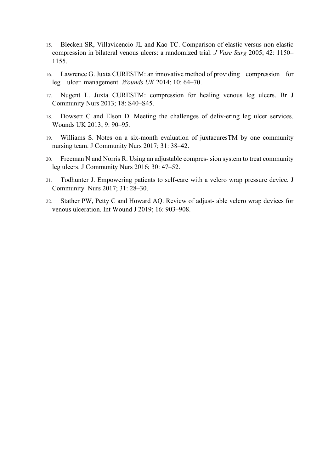- 15. Blecken SR, Villavicencio JL and Kao TC. Comparison of elastic versus non-elastic compression in bilateral venous ulcers: a randomized trial. *J Vasc Surg* 2005; 42: 1150– 1155.
- 16. Lawrence G. Juxta CURESTM: an innovative method of providing compression for leg ulcer management. *Wounds UK* 2014; 10: 64–70.
- 17. Nugent L. Juxta CURESTM: compression for healing venous leg ulcers. Br J Community Nurs 2013; 18: S40–S45.
- 18. Dowsett C and Elson D. Meeting the challenges of deliv-ering leg ulcer services. Wounds UK 2013; 9: 90–95.
- 19. Williams S. Notes on a six-month evaluation of juxtacuresTM by one community nursing team. J Community Nurs 2017; 31: 38–42.
- 20. Freeman N and Norris R. Using an adjustable compres- sion system to treat community leg ulcers. J Community Nurs 2016; 30: 47–52.
- 21. Todhunter J. Empowering patients to self-care with a velcro wrap pressure device. J Community Nurs 2017; 31: 28–30.
- 22. Stather PW, Petty C and Howard AQ. Review of adjust- able velcro wrap devices for venous ulceration. Int Wound J 2019; 16: 903–908.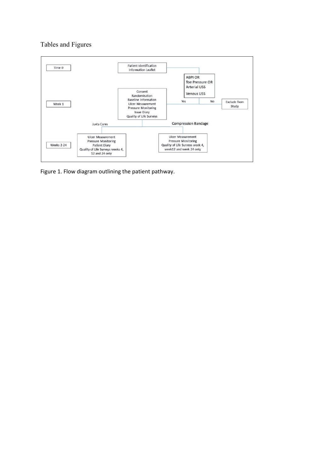# Tables and Figures



Figure 1. Flow diagram outlining the patient pathway.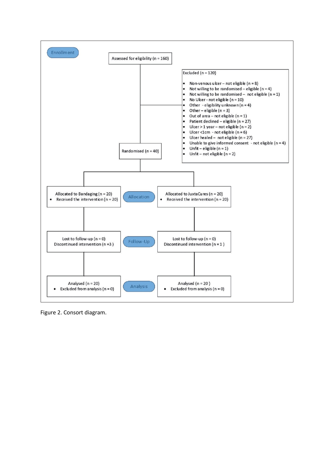

Figure 2. Consort diagram.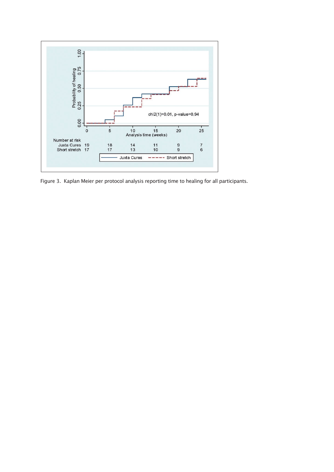

Figure 3. Kaplan Meier per protocol analysis reporting time to healing for all participants.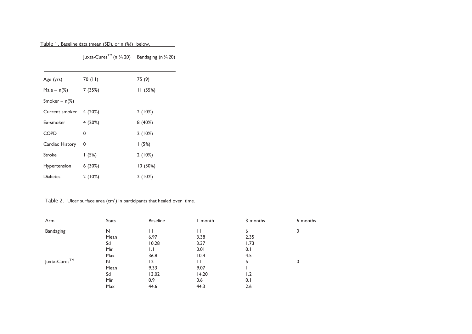Table 1. Baseline data (mean (SD), or n (%)) below.

|                 | Juxta-Cures <sup>TM</sup> (n $\frac{1}{4}$ 20) Bandaging (n $\frac{1}{4}$ 20) |          |  |
|-----------------|-------------------------------------------------------------------------------|----------|--|
|                 |                                                                               |          |  |
| Age (yrs)       | 70 (11)                                                                       | 75 (9)   |  |
| Male – $n(\%)$  | 7 (35%)                                                                       | 11(55%)  |  |
| Smoker – $n\$ ) |                                                                               |          |  |
| Current smoker  | 4 (20%)                                                                       | 2(10%)   |  |
| Ex-smoker       | 4 (20%)                                                                       | 8 (40%)  |  |
| <b>COPD</b>     | 0                                                                             | 2(10%)   |  |
| Cardiac History | 0                                                                             | 1(5%)    |  |
| Stroke          | 1(5%)                                                                         | 2(10%)   |  |
| Hypertension    | 6(30%)                                                                        | 10 (50%) |  |
| Diabetes        | 2 (10%)                                                                       | 2 (10%)  |  |

Table 2. Ulcer surface area  $\rm (cm^2)$  in participants that healed over time.

| Arm                      | <b>Stats</b> | <b>Baseline</b> | l month | 3 months | 6 months |
|--------------------------|--------------|-----------------|---------|----------|----------|
| Bandaging                | N            |                 | ١I      | 6        | 0        |
|                          | Mean         | 6.97            | 3.38    | 2.35     |          |
|                          | Sd           | 10.28           | 3.37    | 1.73     |          |
|                          | Min          | L.I             | 0.01    | 0.1      |          |
|                          | Max          | 36.8            | 10.4    | 4.5      |          |
| Juxta-Cures <sup>™</sup> | N            | 12              | Н       |          | 0        |
|                          | Mean         | 9.33            | 9.07    |          |          |
|                          | Sd           | 13.02           | 14.20   | 1.21     |          |
|                          | Min          | 0.9             | 0.6     | 0.1      |          |
|                          | Max          | 44.6            | 44.3    | 2.6      |          |